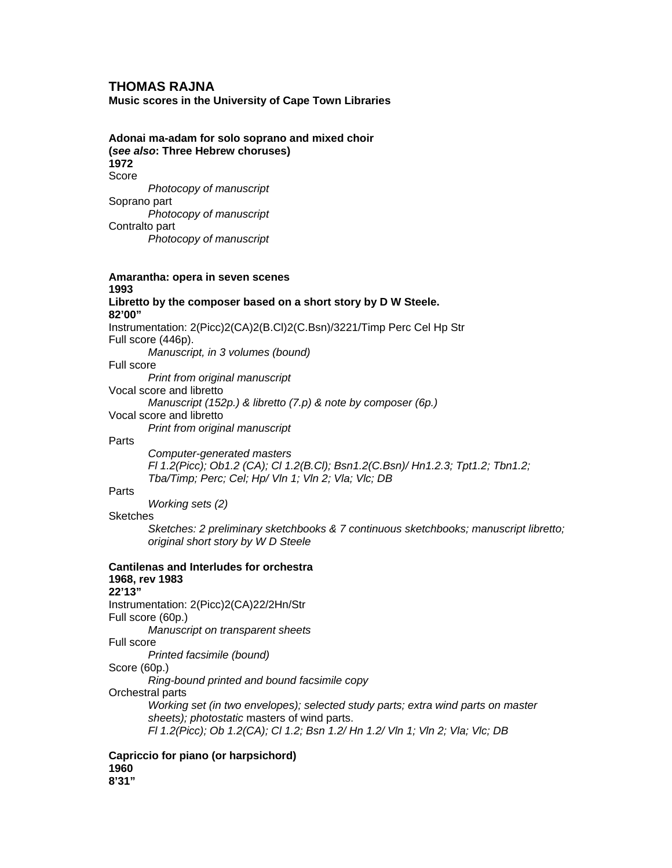### **THOMAS RAJNA**

**Music scores in the University of Cape Town Libraries** 

**Adonai ma-adam for solo soprano and mixed choir** 

**(***see also***: Three Hebrew choruses) 1972**  Score  *Photocopy of manuscript* Soprano part  *Photocopy of manuscript* Contralto part  *Photocopy of manuscript*  **Amarantha: opera in seven scenes 1993 Libretto by the composer based on a short story by D W Steele. 82'00"**  Instrumentation: 2(Picc)2(CA)2(B.Cl)2(C.Bsn)/3221/Timp Perc Cel Hp Str Full score (446p).  *Manuscript, in 3 volumes (bound)*  Full score  *Print from original manuscript* Vocal score and libretto  *Manuscript (152p.) & libretto (7.p) & note by composer (6p.)* Vocal score and libretto  *Print from original manuscript* **Parts**  *Computer-generated masters Fl 1.2(Picc); Ob1.2 (CA); Cl 1.2(B.Cl); Bsn1.2(C.Bsn)/ Hn1.2.3; Tpt1.2; Tbn1.2; Tba/Timp; Perc; Cel; Hp/ Vln 1; Vln 2; Vla; Vlc; DB* **Parts**  *Working sets (2)* Sketches  *Sketches: 2 preliminary sketchbooks & 7 continuous sketchbooks; manuscript libretto; original short story by W D Steele*  **Cantilenas and Interludes for orchestra 1968, rev 1983 22'13"**  Instrumentation: 2(Picc)2(CA)22/2Hn/Str Full score (60p.)  *Manuscript on transparent sheets* Full score  *Printed facsimile (bound)*  Score (60p.)  *Ring-bound printed and bound facsimile copy*  Orchestral parts *Working set (in two envelopes); selected study parts; extra wind parts on master sheets); photostatic* masters of wind parts.  *Fl 1.2(Picc); Ob 1.2(CA); Cl 1.2; Bsn 1.2/ Hn 1.2/ Vln 1; Vln 2; Vla; Vlc; DB*  **Capriccio for piano (or harpsichord)** 

**1960 8'31"**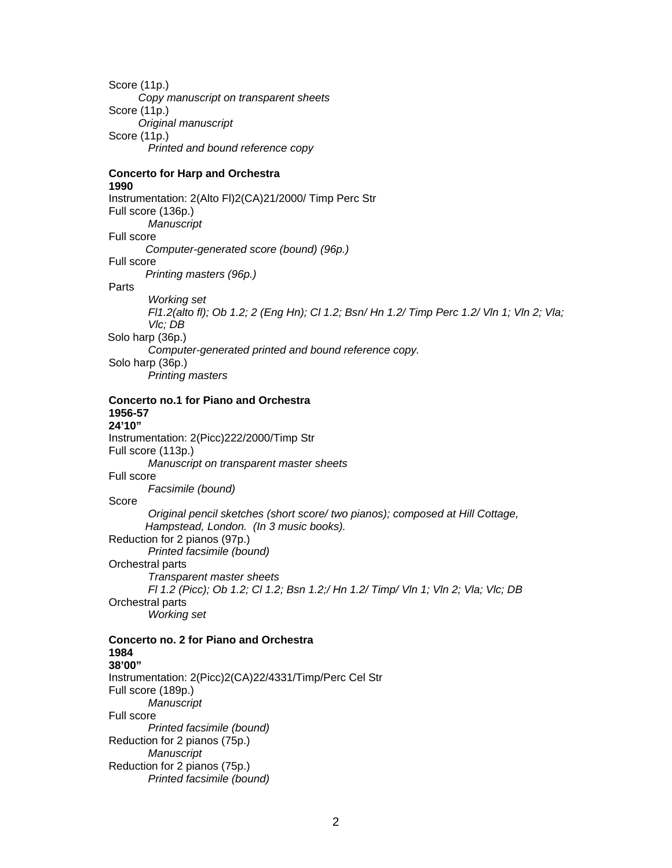Score (11p.)  *Copy manuscript on transparent sheets*  Score (11p.)  *Original manuscript*  Score (11p.) *Printed and bound reference copy* 

# **Concerto for Harp and Orchestra**

#### **1990**

Instrumentation: 2(Alto Fl)2(CA)21/2000/ Timp Perc Str Full score (136p.)  *Manuscript*  Full score  *Computer-generated score (bound) (96p.)*  Full score  *Printing masters (96p.)*  Parts  *Working set Fl1.2(alto fl); Ob 1.2; 2 (Eng Hn); Cl 1.2; Bsn/ Hn 1.2/ Timp Perc 1.2/ Vln 1; Vln 2; Vla; Vlc; DB*  Solo harp (36p.)  *Computer-generated printed and bound reference copy.*  Solo harp (36p.)  *Printing masters* 

#### **Concerto no.1 for Piano and Orchestra 1956-57 24'10"**

Instrumentation: 2(Picc)222/2000/Timp Str Full score (113p.)  *Manuscript on transparent master sheets*  Full score  *Facsimile (bound)*  Score  *Original pencil sketches (short score/ two pianos); composed at Hill Cottage, Hampstead, London. (In 3 music books).*  Reduction for 2 pianos (97p.)  *Printed facsimile (bound)*  Orchestral parts  *Transparent master sheets Fl 1.2 (Picc); Ob 1.2; Cl 1.2; Bsn 1.2;/ Hn 1.2/ Timp/ Vln 1; Vln 2; Vla; Vlc; DB*  Orchestral parts  *Working set*  **Concerto no. 2 for Piano and Orchestra** 

### **1984 38'00"**  Instrumentation: 2(Picc)2(CA)22/4331/Timp/Perc Cel Str Full score (189p.)  *Manuscript*  Full score  *Printed facsimile (bound)*  Reduction for 2 pianos (75p.)  *Manuscript*  Reduction for 2 pianos (75p.)  *Printed facsimile (bound)*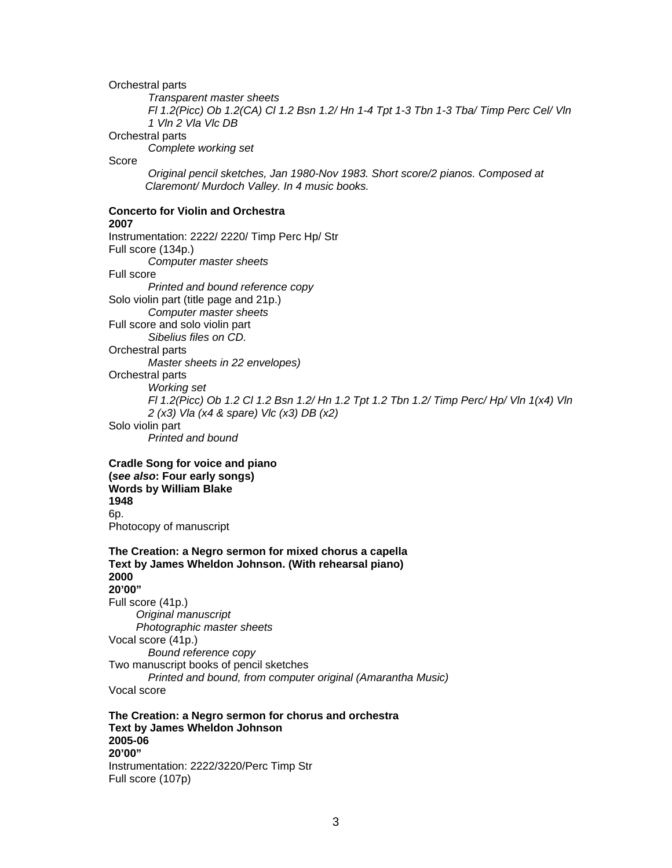#### Orchestral parts

 *Transparent master sheets Fl 1.2(Picc) Ob 1.2(CA) Cl 1.2 Bsn 1.2/ Hn 1-4 Tpt 1-3 Tbn 1-3 Tba/ Timp Perc Cel/ Vln 1 Vln 2 Vla Vlc DB* 

#### Orchestral parts

 *Complete working set* 

### Score

 *Original pencil sketches, Jan 1980-Nov 1983. Short score/2 pianos. Composed at Claremont/ Murdoch Valley. In 4 music books.* 

# **Concerto for Violin and Orchestra**

**2007**  Instrumentation: 2222/ 2220/ Timp Perc Hp/ Str Full score (134p.)  *Computer master sheets*  Full score  *Printed and bound reference copy*  Solo violin part (title page and 21p.)  *Computer master sheets*  Full score and solo violin part  *Sibelius files on CD.*  Orchestral parts *Master sheets in 22 envelopes)*  Orchestral parts *Working set Fl 1.2(Picc) Ob 1.2 Cl 1.2 Bsn 1.2/ Hn 1.2 Tpt 1.2 Tbn 1.2/ Timp Perc/ Hp/ Vln 1(x4) Vln 2 (x3) Vla (x4 & spare) Vlc (x3) DB (x2)*  Solo violin part *Printed and bound* 

**Cradle Song for voice and piano (***see also***: Four early songs) Words by William Blake 1948**  6p. Photocopy of manuscript

**The Creation: a Negro sermon for mixed chorus a capella Text by James Wheldon Johnson. (With rehearsal piano) 2000 20'00"**  Full score (41p.)

*Original manuscript Photographic master sheets*  Vocal score (41p.) *Bound reference copy*  Two manuscript books of pencil sketches  *Printed and bound, from computer original (Amarantha Music)*  Vocal score

**The Creation: a Negro sermon for chorus and orchestra Text by James Wheldon Johnson 2005-06 20'00"**  Instrumentation: 2222/3220/Perc Timp Str Full score (107p)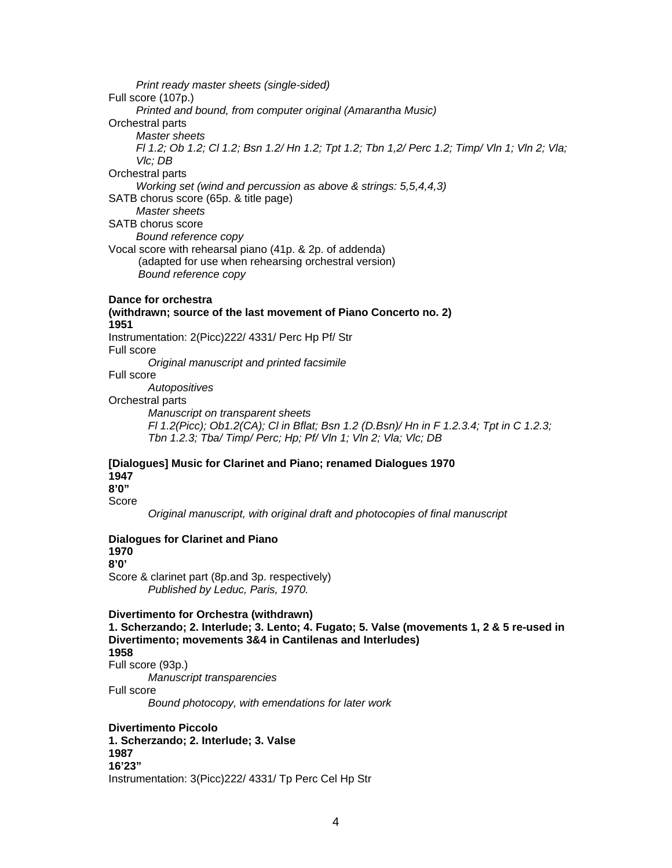*Print ready master sheets (single-sided)*  Full score (107p.)  *Printed and bound, from computer original (Amarantha Music)*  Orchestral parts  *Master sheets Fl 1.2; Ob 1.2; Cl 1.2; Bsn 1.2/ Hn 1.2; Tpt 1.2; Tbn 1,2/ Perc 1.2; Timp/ Vln 1; Vln 2; Vla; Vlc; DB*  Orchestral parts  *Working set (wind and percussion as above & strings: 5,5,4,4,3)*  SATB chorus score (65p. & title page)  *Master sheets*  SATB chorus score  *Bound reference copy*  Vocal score with rehearsal piano (41p. & 2p. of addenda) (adapted for use when rehearsing orchestral version)  *Bound reference copy* 

#### **Dance for orchestra**

**(withdrawn; source of the last movement of Piano Concerto no. 2) 1951**  Instrumentation: 2(Picc)222/ 4331/ Perc Hp Pf/ Str Full score  *Original manuscript and printed facsimile* 

#### Full score

 *Autopositives* 

#### Orchestral parts

 *Manuscript on transparent sheets Fl 1.2(Picc); Ob1.2(CA); Cl in Bflat; Bsn 1.2 (D.Bsn)/ Hn in F 1.2.3.4; Tpt in C 1.2.3; Tbn 1.2.3; Tba/ Timp/ Perc; Hp; Pf/ Vln 1; Vln 2; Vla; Vlc; DB* 

### **[Dialogues] Music for Clarinet and Piano; renamed Dialogues 1970 1947 8'0"**

Score

 *Original manuscript, with original draft and photocopies of final manuscript* 

#### **Dialogues for Clarinet and Piano**

**1970** 

**8'0'** 

Score & clarinet part (8p.and 3p. respectively)  *Published by Leduc, Paris, 1970.* 

#### **Divertimento for Orchestra (withdrawn)**

**1. Scherzando; 2. Interlude; 3. Lento; 4. Fugato; 5. Valse (movements 1, 2 & 5 re-used in Divertimento; movements 3&4 in Cantilenas and Interludes) 1958**  Full score (93p.)  *Manuscript transparencies* 

Full score

 *Bound photocopy, with emendations for later work* 

**Divertimento Piccolo 1. Scherzando; 2. Interlude; 3. Valse 1987 16'23"**  Instrumentation: 3(Picc)222/ 4331/ Tp Perc Cel Hp Str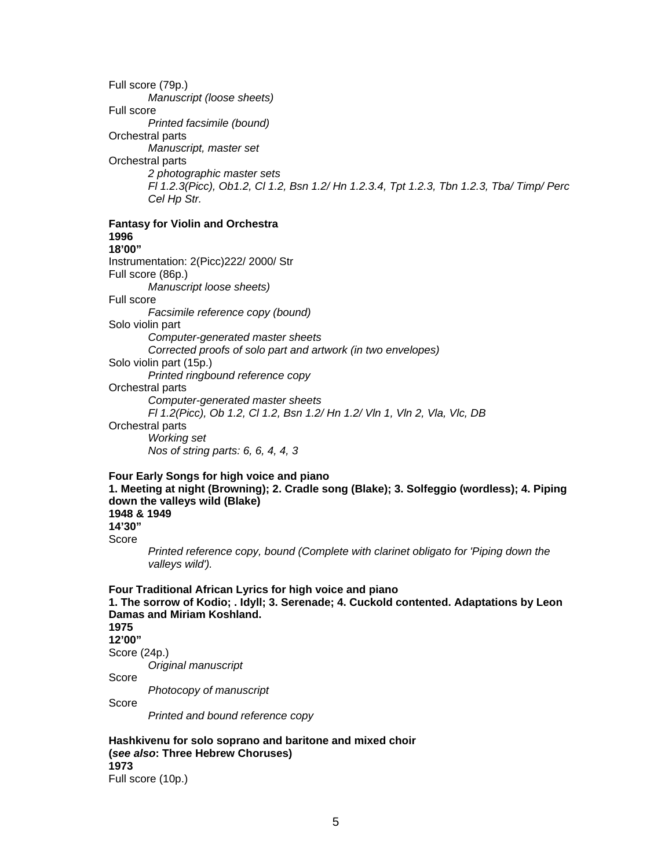Full score (79p.)  *Manuscript (loose sheets)*  Full score  *Printed facsimile (bound)*  Orchestral parts  *Manuscript, master set*  Orchestral parts  *2 photographic master sets Fl 1.2.3(Picc), Ob1.2, Cl 1.2, Bsn 1.2/ Hn 1.2.3.4, Tpt 1.2.3, Tbn 1.2.3, Tba/ Timp/ Perc Cel Hp Str.* 

**Fantasy for Violin and Orchestra 1996 18'00"** 

Instrumentation: 2(Picc)222/ 2000/ Str Full score (86p.)  *Manuscript loose sheets)*  Full score  *Facsimile reference copy (bound)*  Solo violin part *Computer-generated master sheets Corrected proofs of solo part and artwork (in two envelopes)*  Solo violin part (15p.)  *Printed ringbound reference copy*  Orchestral parts  *Computer-generated master sheets Fl 1.2(Picc), Ob 1.2, Cl 1.2, Bsn 1.2/ Hn 1.2/ Vln 1, Vln 2, Vla, Vlc, DB*  Orchestral parts  *Working set Nos of string parts: 6, 6, 4, 4, 3* 

**Four Early Songs for high voice and piano 1. Meeting at night (Browning); 2. Cradle song (Blake); 3. Solfeggio (wordless); 4. Piping down the valleys wild (Blake) 1948 & 1949 14'30"**  Score  *Printed reference copy, bound (Complete with clarinet obligato for 'Piping down the* 

 *valleys wild').* 

**Four Traditional African Lyrics for high voice and piano 1. The sorrow of Kodio; . Idyll; 3. Serenade; 4. Cuckold contented. Adaptations by Leon Damas and Miriam Koshland. 1975 12'00"**  Score (24p.)  *Original manuscript*  Score  *Photocopy of manuscript*  Score  *Printed and bound reference copy* 

**Hashkivenu for solo soprano and baritone and mixed choir (***see also***: Three Hebrew Choruses) 1973**  Full score (10p.)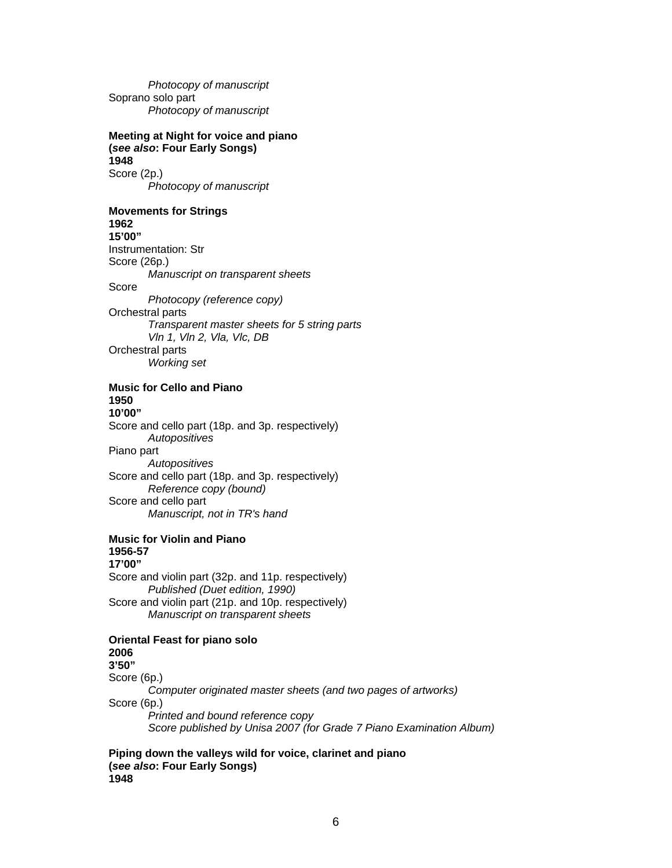*Photocopy of manuscript*  Soprano solo part  *Photocopy of manuscript* 

### **Meeting at Night for voice and piano (***see also***: Four Early Songs) 1948**

Score (2p.)  *Photocopy of manuscript* 

# **Movements for Strings**

**1962 15'00"** 

Instrumentation: Str

Score (26p.)

 *Manuscript on transparent sheets* 

Score

 *Photocopy (reference copy)*  Orchestral parts  *Transparent master sheets for 5 string parts Vln 1, Vln 2, Vla, Vlc, DB*  Orchestral parts  *Working set* 

# **Music for Cello and Piano 1950**

**10'00"**  Score and cello part (18p. and 3p. respectively)  *Autopositives*  Piano part  *Autopositives*  Score and cello part (18p. and 3p. respectively)  *Reference copy (bound)*  Score and cello part  *Manuscript, not in TR's hand* 

#### **Music for Violin and Piano 1956-57 17'00"**  Score and violin part (32p. and 11p. respectively)

 *Published (Duet edition, 1990)*  Score and violin part (21p. and 10p. respectively)  *Manuscript on transparent sheets* 

#### **Oriental Feast for piano solo 2006 3'50"**

Score (6p.)  *Computer originated master sheets (and two pages of artworks)*  Score (6p.)  *Printed and bound reference copy Score published by Unisa 2007 (for Grade 7 Piano Examination Album)* 

**Piping down the valleys wild for voice, clarinet and piano (***see also***: Four Early Songs) 1948**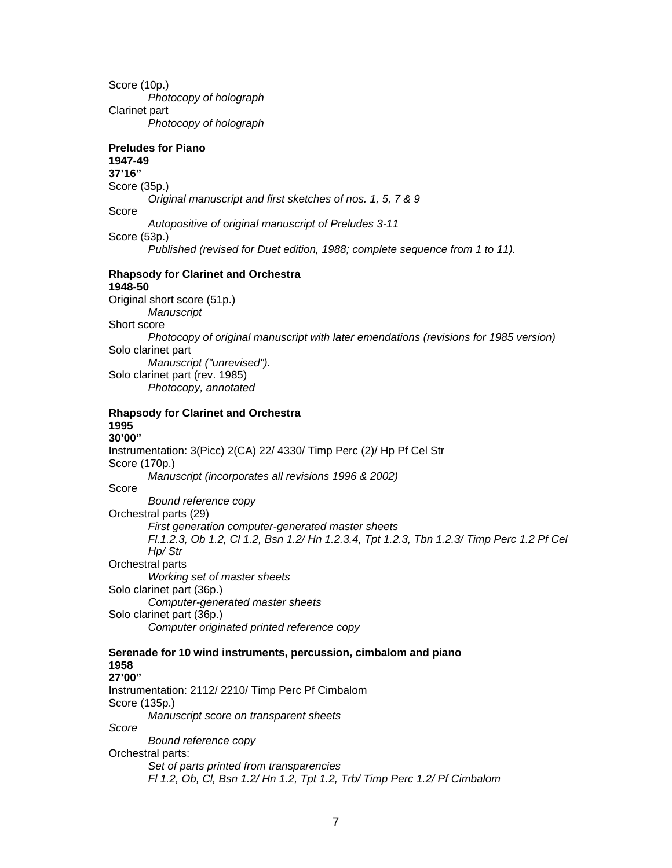Score (10p.)  *Photocopy of holograph*  Clarinet part  *Photocopy of holograph*  **Preludes for Piano 1947-49 37'16"**  Score (35p.)  *Original manuscript and first sketches of nos. 1, 5, 7 & 9*  Score  *Autopositive of original manuscript of Preludes 3-11*  Score (53p.) *Published (revised for Duet edition, 1988; complete sequence from 1 to 11).*  **Rhapsody for Clarinet and Orchestra 1948-50**  Original short score (51p.)  *Manuscript*  Short score  *Photocopy of original manuscript with later emendations (revisions for 1985 version)*  Solo clarinet part  *Manuscript ("unrevised").*  Solo clarinet part (rev. 1985)  *Photocopy, annotated*  **Rhapsody for Clarinet and Orchestra 1995 30'00"**  Instrumentation: 3(Picc) 2(CA) 22/ 4330/ Timp Perc (2)/ Hp Pf Cel Str Score (170p.)  *Manuscript (incorporates all revisions 1996 & 2002)*  Score  *Bound reference copy*  Orchestral parts (29)  *First generation computer-generated master sheets Fl.1.2.3, Ob 1.2, Cl 1.2, Bsn 1.2/ Hn 1.2.3.4, Tpt 1.2.3, Tbn 1.2.3/ Timp Perc 1.2 Pf Cel Hp/ Str*  Orchestral parts  *Working set of master sheets*  Solo clarinet part (36p.)  *Computer-generated master sheets*  Solo clarinet part (36p.)  *Computer originated printed reference copy*  **Serenade for 10 wind instruments, percussion, cimbalom and piano 1958 27'00"**  Instrumentation: 2112/ 2210/ Timp Perc Pf Cimbalom Score (135p.)  *Manuscript score on transparent sheets Score Bound reference copy*  Orchestral parts:  *Set of parts printed from transparencies Fl 1.2, Ob, Cl, Bsn 1.2/ Hn 1.2, Tpt 1.2, Trb/ Timp Perc 1.2/ Pf Cimbalom*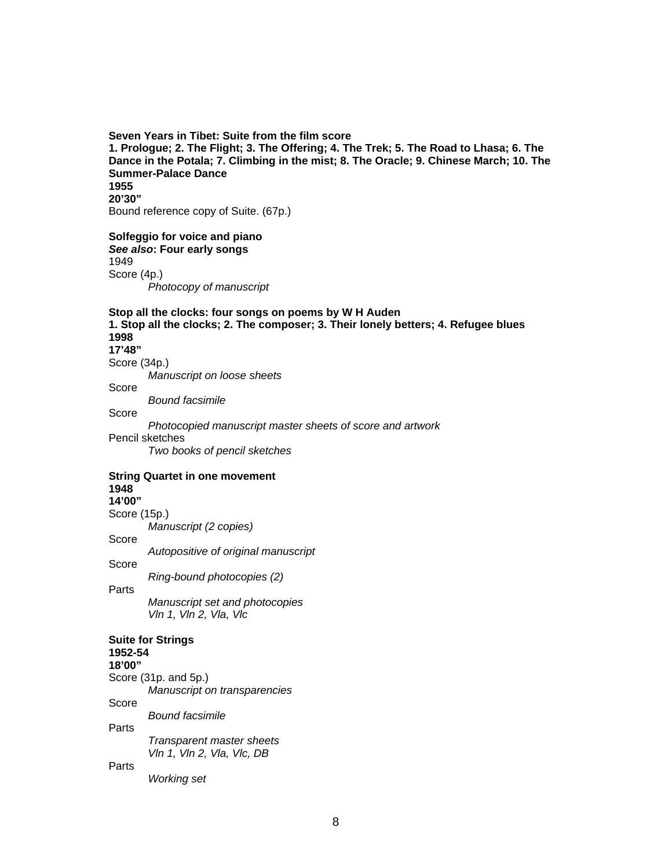### **Seven Years in Tibet: Suite from the film score 1. Prologue; 2. The Flight; 3. The Offering; 4. The Trek; 5. The Road to Lhasa; 6. The Dance in the Potala; 7. Climbing in the mist; 8. The Oracle; 9. Chinese March; 10. The Summer-Palace Dance 1955 20'30"**  Bound reference copy of Suite. (67p.)

### **Solfeggio for voice and piano**

*See also***: Four early songs**  1949 Score (4p.)  *Photocopy of manuscript* 

### **Stop all the clocks: four songs on poems by W H Auden 1. Stop all the clocks; 2. The composer; 3. Their lonely betters; 4. Refugee blues 1998 17'48"**  Score (34p.)  *Manuscript on loose sheets*  Score  *Bound facsimile*  Score

 *Photocopied manuscript master sheets of score and artwork*  Pencil sketches

 *Two books of pencil sketches* 

#### **String Quartet in one movement 1948 14'00"**

Score (15p.)

 *Manuscript (2 copies)* 

Score

 *Autopositive of original manuscript* 

Score

 *Ring-bound photocopies (2)* 

Parts

 *Manuscript set and photocopies Vln 1, Vln 2, Vla, Vlc* 

# **Suite for Strings**

**1952-54** 

**18'00"** 

Score (31p. and 5p.)  *Manuscript on transparencies*  Score  *Bound facsimile* 

Parts

Parts

 *Transparent master sheets Vln 1, Vln 2, Vla, Vlc, DB* 

 *Working set*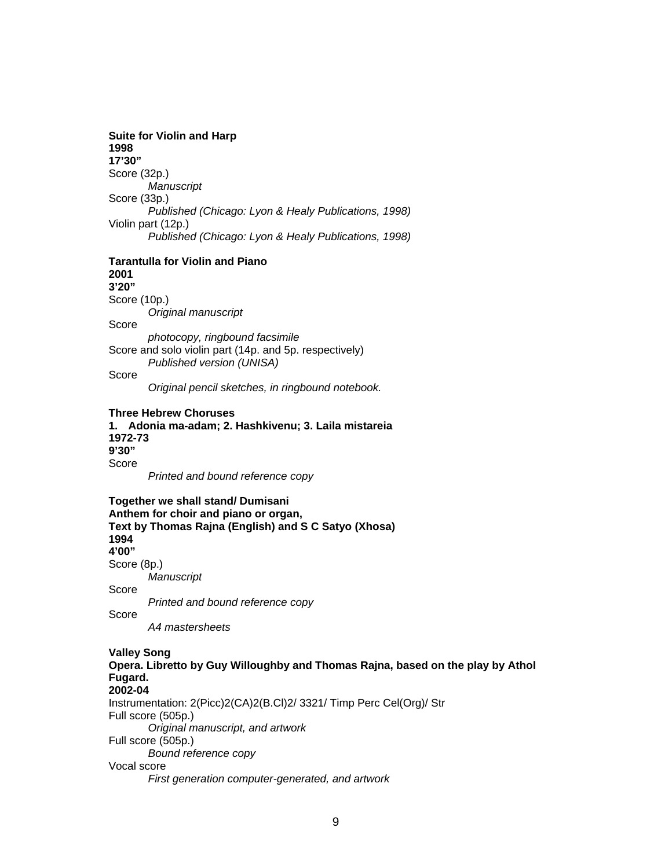#### **Suite for Violin and Harp 1998 17'30"**

Score (32p.)  *Manuscript*  Score (33p.)  *Published (Chicago: Lyon & Healy Publications, 1998)*  Violin part (12p.)  *Published (Chicago: Lyon & Healy Publications, 1998)* 

#### **Tarantulla for Violin and Piano 2001**

**3'20"** 

Score (10p.)

 *Original manuscript* 

Score

 *photocopy, ringbound facsimile*  Score and solo violin part (14p. and 5p. respectively)  *Published version (UNISA)* 

Score

 *Original pencil sketches, in ringbound notebook.* 

### **Three Hebrew Choruses**

**1. Adonia ma-adam; 2. Hashkivenu; 3. Laila mistareia 1972-73 9'30"**  Score  *Printed and bound reference copy* 

**Together we shall stand/ Dumisani Anthem for choir and piano or organ, Text by Thomas Rajna (English) and S C Satyo (Xhosa) 1994 4'00"**  Score (8p.)  *Manuscript*  Score  *Printed and bound reference copy*  Score  *A4 mastersheets*  **Valley Song Opera. Libretto by Guy Willoughby and Thomas Rajna, based on the play by Athol Fugard. 2002-04**  Instrumentation: 2(Picc)2(CA)2(B.Cl)2/ 3321/ Timp Perc Cel(Org)/ Str Full score (505p.)  *Original manuscript, and artwork*  Full score (505p.)  *Bound reference copy* 

Vocal score

 *First generation computer-generated, and artwork*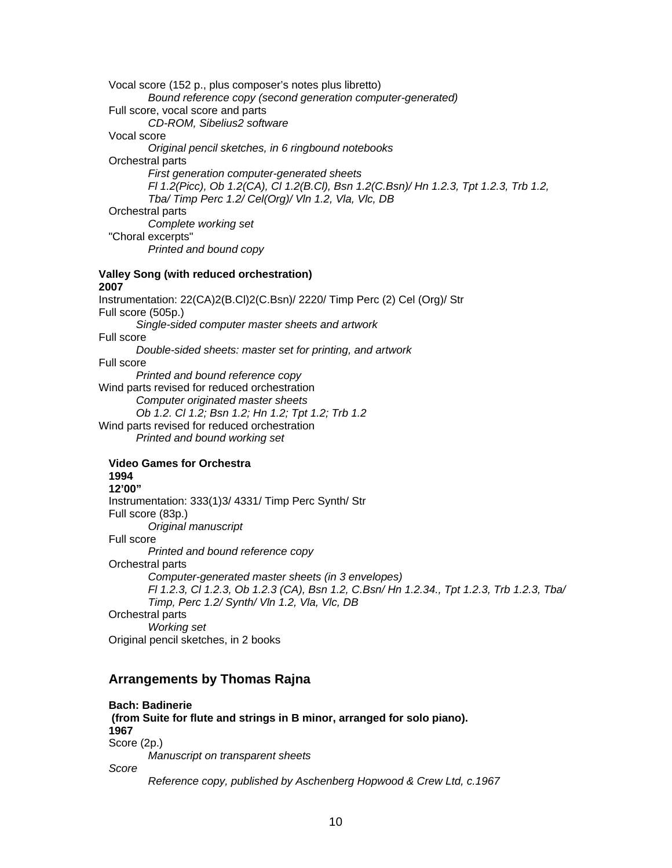Vocal score (152 p., plus composer's notes plus libretto)  *Bound reference copy (second generation computer-generated)*  Full score, vocal score and parts  *CD-ROM, Sibelius2 software*  Vocal score  *Original pencil sketches, in 6 ringbound notebooks*  Orchestral parts  *First generation computer-generated sheets Fl 1.2(Picc), Ob 1.2(CA), Cl 1.2(B.Cl), Bsn 1.2(C.Bsn)/ Hn 1.2.3, Tpt 1.2.3, Trb 1.2, Tba/ Timp Perc 1.2/ Cel(Org)/ Vln 1.2, Vla, Vlc, DB*  Orchestral parts  *Complete working set*  "Choral excerpts"  *Printed and bound copy*  **Valley Song (with reduced orchestration) 2007**  Instrumentation: 22(CA)2(B.Cl)2(C.Bsn)/ 2220/ Timp Perc (2) Cel (Org)/ Str Full score (505p.)  *Single-sided computer master sheets and artwork*  Full score  *Double-sided sheets: master set for printing, and artwork*  Full score  *Printed and bound reference copy*  Wind parts revised for reduced orchestration  *Computer originated master sheets Ob 1.2. Cl 1.2; Bsn 1.2; Hn 1.2; Tpt 1.2; Trb 1.2*  Wind parts revised for reduced orchestration  *Printed and bound working set*  **Video Games for Orchestra 1994 12'00"**  Instrumentation: 333(1)3/ 4331/ Timp Perc Synth/ Str Full score (83p.)  *Original manuscript*  Full score  *Printed and bound reference copy*  Orchestral parts  *Computer-generated master sheets (in 3 envelopes) Fl 1.2.3, Cl 1.2.3, Ob 1.2.3 (CA), Bsn 1.2, C.Bsn/ Hn 1.2.34., Tpt 1.2.3, Trb 1.2.3, Tba/ Timp, Perc 1.2/ Synth/ Vln 1.2, Vla, Vlc, DB*  Orchestral parts  *Working set*  Original pencil sketches, in 2 books

# **Arrangements by Thomas Rajna**

**Bach: Badinerie (from Suite for flute and strings in B minor, arranged for solo piano). 1967**  Score (2p.)  *Manuscript on transparent sheets Score Reference copy, published by Aschenberg Hopwood & Crew Ltd, c.1967*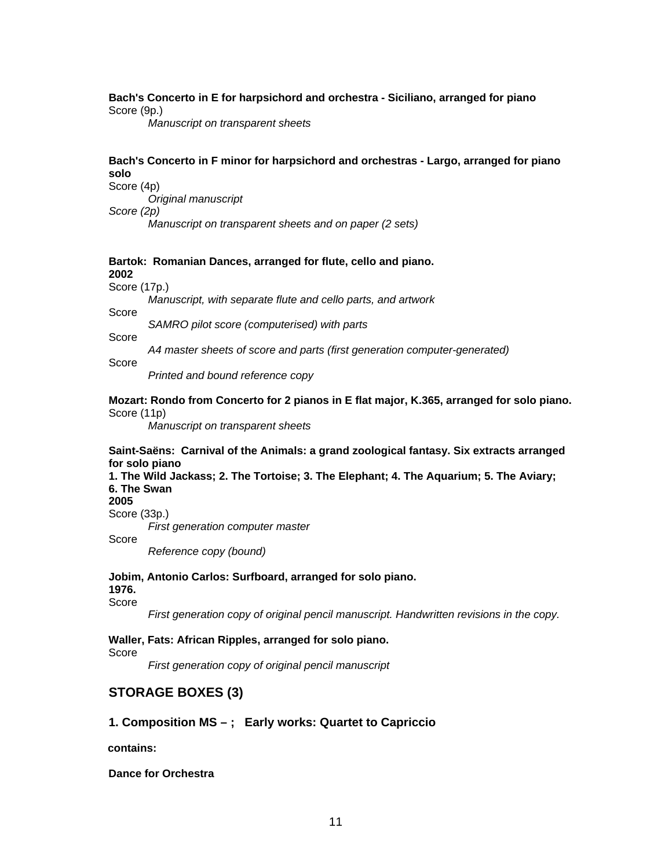### **Bach's Concerto in E for harpsichord and orchestra - Siciliano, arranged for piano**  Score (9p.)

 *Manuscript on transparent sheets* 

### **Bach's Concerto in F minor for harpsichord and orchestras - Largo, arranged for piano solo**

Score (4p)

 *Original manuscript* 

*Score (2p)* 

 *Manuscript on transparent sheets and on paper (2 sets)* 

#### **Bartok: Romanian Dances, arranged for flute, cello and piano. 2002**

Score (17p.)

 *Manuscript, with separate flute and cello parts, and artwork* 

Score

 *SAMRO pilot score (computerised) with parts* 

Score

 *A4 master sheets of score and parts (first generation computer-generated)* 

Score

 *Printed and bound reference copy* 

#### **Mozart: Rondo from Concerto for 2 pianos in E flat major, K.365, arranged for solo piano.**  Score (11p)

 *Manuscript on transparent sheets* 

### **Saint-Saëns: Carnival of the Animals: a grand zoological fantasy. Six extracts arranged for solo piano**

**1. The Wild Jackass; 2. The Tortoise; 3. The Elephant; 4. The Aquarium; 5. The Aviary; 6. The Swan** 

**2005** 

Score (33p.)

 *First generation computer master*  Score

 *Reference copy (bound)* 

#### **Jobim, Antonio Carlos: Surfboard, arranged for solo piano.**

**1976.** 

Score

*First generation copy of original pencil manuscript. Handwritten revisions in the copy.* 

### **Waller, Fats: African Ripples, arranged for solo piano.**

Score

*First generation copy of original pencil manuscript* 

# **STORAGE BOXES (3)**

### **1. Composition MS – ; Early works: Quartet to Capriccio**

 **contains:** 

#### **Dance for Orchestra**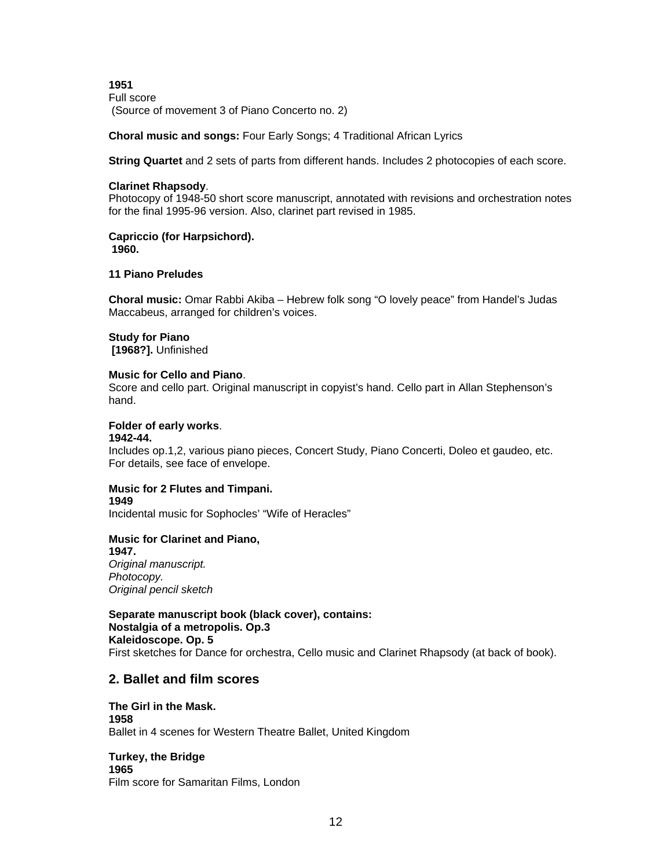**1951**  Full score (Source of movement 3 of Piano Concerto no. 2)

**Choral music and songs:** Four Early Songs; 4 Traditional African Lyrics

**String Quartet** and 2 sets of parts from different hands. Includes 2 photocopies of each score.

### **Clarinet Rhapsody**.

Photocopy of 1948-50 short score manuscript, annotated with revisions and orchestration notes for the final 1995-96 version. Also, clarinet part revised in 1985.

# **Capriccio (for Harpsichord).**

 **1960.** 

### **11 Piano Preludes**

**Choral music:** Omar Rabbi Akiba – Hebrew folk song "O lovely peace" from Handel's Judas Maccabeus, arranged for children's voices.

### **Study for Piano**

 **[1968?].** Unfinished

### **Music for Cello and Piano**.

Score and cello part. Original manuscript in copyist's hand. Cello part in Allan Stephenson's hand.

### **Folder of early works**.

#### **1942-44.**

Includes op.1,2, various piano pieces, Concert Study, Piano Concerti, Doleo et gaudeo, etc. For details, see face of envelope.

#### **Music for 2 Flutes and Timpani. 1949**

Incidental music for Sophocles' "Wife of Heracles"

### **Music for Clarinet and Piano,**

**1947.**  *Original manuscript. Photocopy. Original pencil sketch* 

**Separate manuscript book (black cover), contains: Nostalgia of a metropolis. Op.3 Kaleidoscope. Op. 5**  First sketches for Dance for orchestra, Cello music and Clarinet Rhapsody (at back of book).

# **2. Ballet and film scores**

**The Girl in the Mask. 1958**  Ballet in 4 scenes for Western Theatre Ballet, United Kingdom

#### **Turkey, the Bridge 1965**  Film score for Samaritan Films, London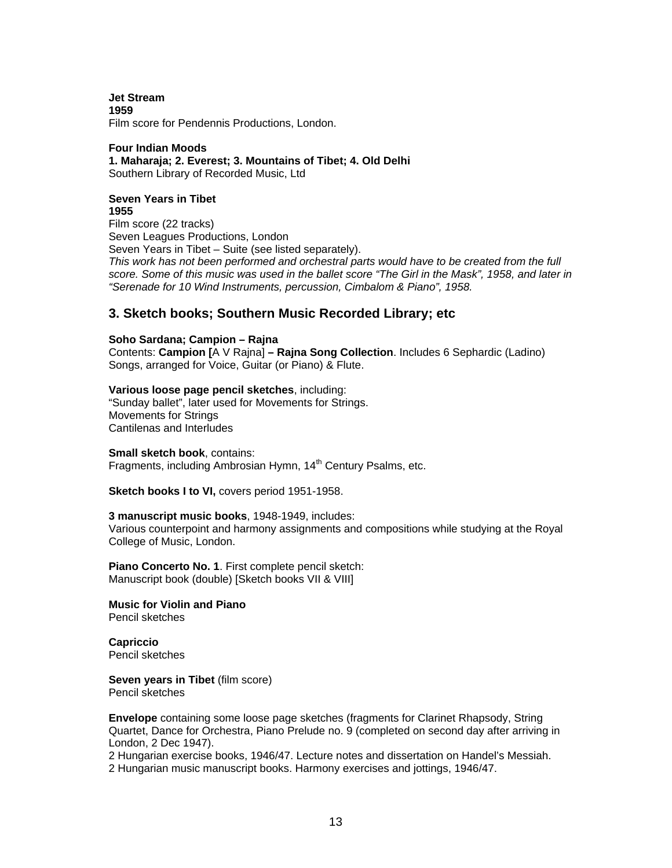**Jet Stream 1959** 

Film score for Pendennis Productions, London.

#### **Four Indian Moods 1. Maharaja; 2. Everest; 3. Mountains of Tibet; 4. Old Delhi**  Southern Library of Recorded Music, Ltd

# **Seven Years in Tibet**

**1955**  Film score (22 tracks) Seven Leagues Productions, London Seven Years in Tibet – Suite (see listed separately). *This work has not been performed and orchestral parts would have to be created from the full score. Some of this music was used in the ballet score "The Girl in the Mask", 1958, and later in "Serenade for 10 Wind Instruments, percussion, Cimbalom & Piano", 1958.* 

## **3. Sketch books; Southern Music Recorded Library; etc**

#### **Soho Sardana; Campion – Rajna**

Contents: **Campion [**A V Rajna] **– Rajna Song Collection**. Includes 6 Sephardic (Ladino) Songs, arranged for Voice, Guitar (or Piano) & Flute.

#### **Various loose page pencil sketches**, including:

"Sunday ballet", later used for Movements for Strings. Movements for Strings Cantilenas and Interludes

**Small sketch book**, contains:

Fragments, including Ambrosian Hymn, 14<sup>th</sup> Century Psalms, etc.

**Sketch books I to VI,** covers period 1951-1958.

#### **3 manuscript music books**, 1948-1949, includes:

Various counterpoint and harmony assignments and compositions while studying at the Royal College of Music, London.

**Piano Concerto No. 1**. First complete pencil sketch: Manuscript book (double) [Sketch books VII & VIII]

**Music for Violin and Piano**  Pencil sketches

**Capriccio**  Pencil sketches

**Seven years in Tibet** (film score) Pencil sketches

**Envelope** containing some loose page sketches (fragments for Clarinet Rhapsody, String Quartet, Dance for Orchestra, Piano Prelude no. 9 (completed on second day after arriving in London, 2 Dec 1947).

2 Hungarian exercise books, 1946/47. Lecture notes and dissertation on Handel's Messiah. 2 Hungarian music manuscript books. Harmony exercises and jottings, 1946/47.